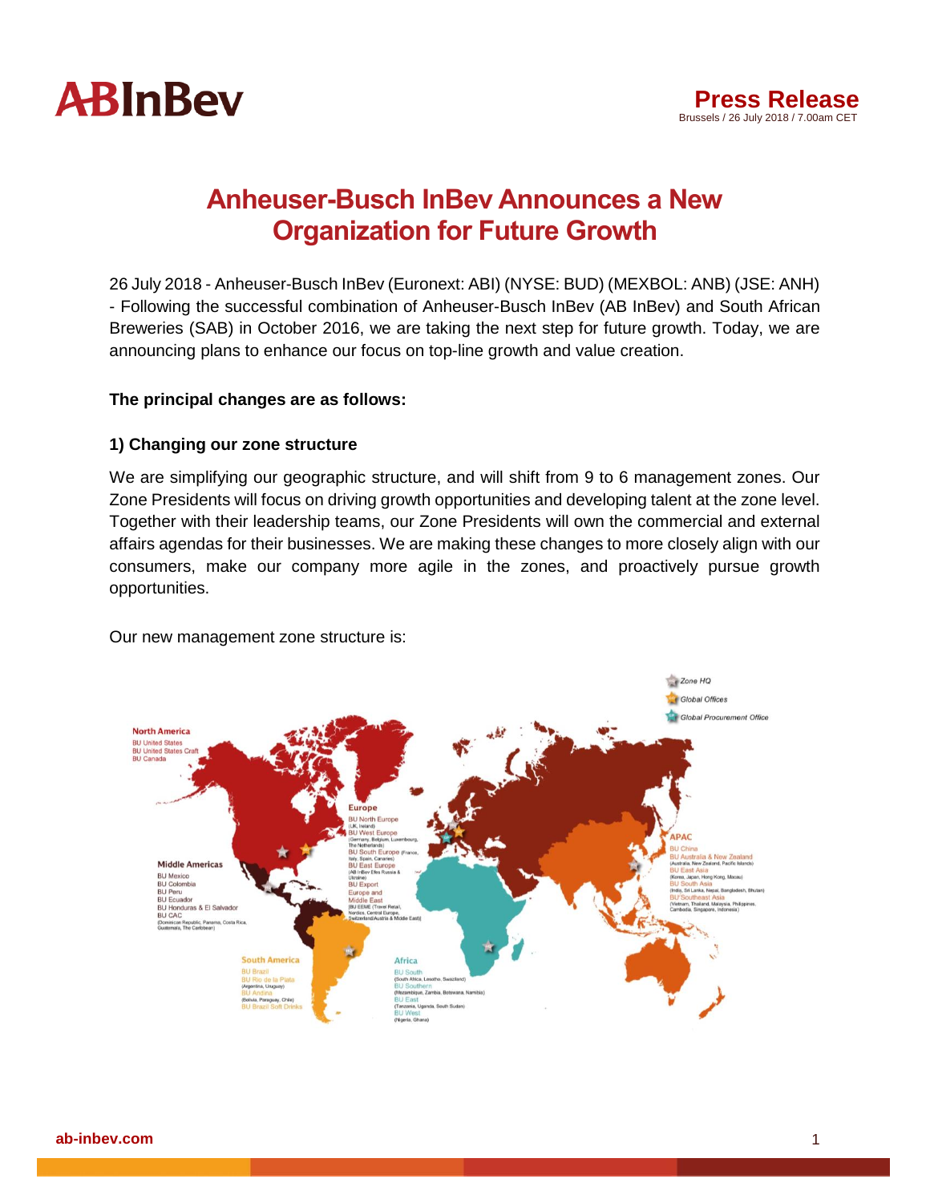

# **Anheuser-Busch InBev Announces a New Organization for Future Growth**

26 July 2018 - Anheuser-Busch InBev (Euronext: ABI) (NYSE: BUD) (MEXBOL: ANB) (JSE: ANH) - Following the successful combination of Anheuser-Busch InBev (AB InBev) and South African Breweries (SAB) in October 2016, we are taking the next step for future growth. Today, we are announcing plans to enhance our focus on top-line growth and value creation.

## **The principal changes are as follows:**

## **1) Changing our zone structure**

We are simplifying our geographic structure, and will shift from 9 to 6 management zones. Our Zone Presidents will focus on driving growth opportunities and developing talent at the zone level. Together with their leadership teams, our Zone Presidents will own the commercial and external affairs agendas for their businesses. We are making these changes to more closely align with our consumers, make our company more agile in the zones, and proactively pursue growth opportunities.

Our new management zone structure is:

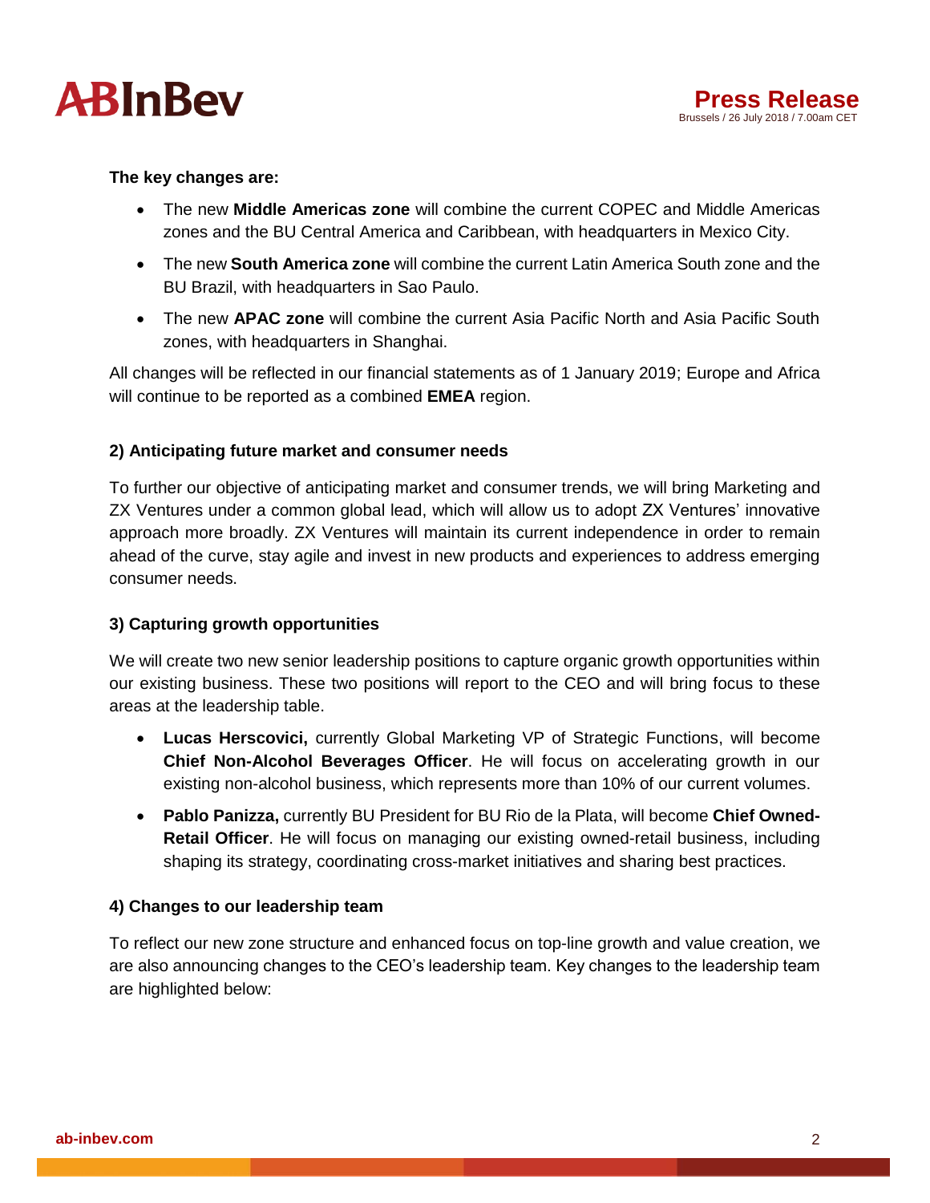



#### **The key changes are:**

- The new **Middle Americas zone** will combine the current COPEC and Middle Americas zones and the BU Central America and Caribbean, with headquarters in Mexico City.
- The new **South America zone** will combine the current Latin America South zone and the BU Brazil, with headquarters in Sao Paulo.
- The new **APAC zone** will combine the current Asia Pacific North and Asia Pacific South zones, with headquarters in Shanghai.

All changes will be reflected in our financial statements as of 1 January 2019; Europe and Africa will continue to be reported as a combined **EMEA** region.

#### **2) Anticipating future market and consumer needs**

To further our objective of anticipating market and consumer trends, we will bring Marketing and ZX Ventures under a common global lead, which will allow us to adopt ZX Ventures' innovative approach more broadly. ZX Ventures will maintain its current independence in order to remain ahead of the curve, stay agile and invest in new products and experiences to address emerging consumer needs.

#### **3) Capturing growth opportunities**

We will create two new senior leadership positions to capture organic growth opportunities within our existing business. These two positions will report to the CEO and will bring focus to these areas at the leadership table.

- **Lucas Herscovici,** currently Global Marketing VP of Strategic Functions, will become **Chief Non-Alcohol Beverages Officer**. He will focus on accelerating growth in our existing non-alcohol business, which represents more than 10% of our current volumes.
- **Pablo Panizza,** currently BU President for BU Rio de la Plata, will become **Chief Owned-Retail Officer**. He will focus on managing our existing owned-retail business, including shaping its strategy, coordinating cross-market initiatives and sharing best practices.

#### **4) Changes to our leadership team**

To reflect our new zone structure and enhanced focus on top-line growth and value creation, we are also announcing changes to the CEO's leadership team. Key changes to the leadership team are highlighted below: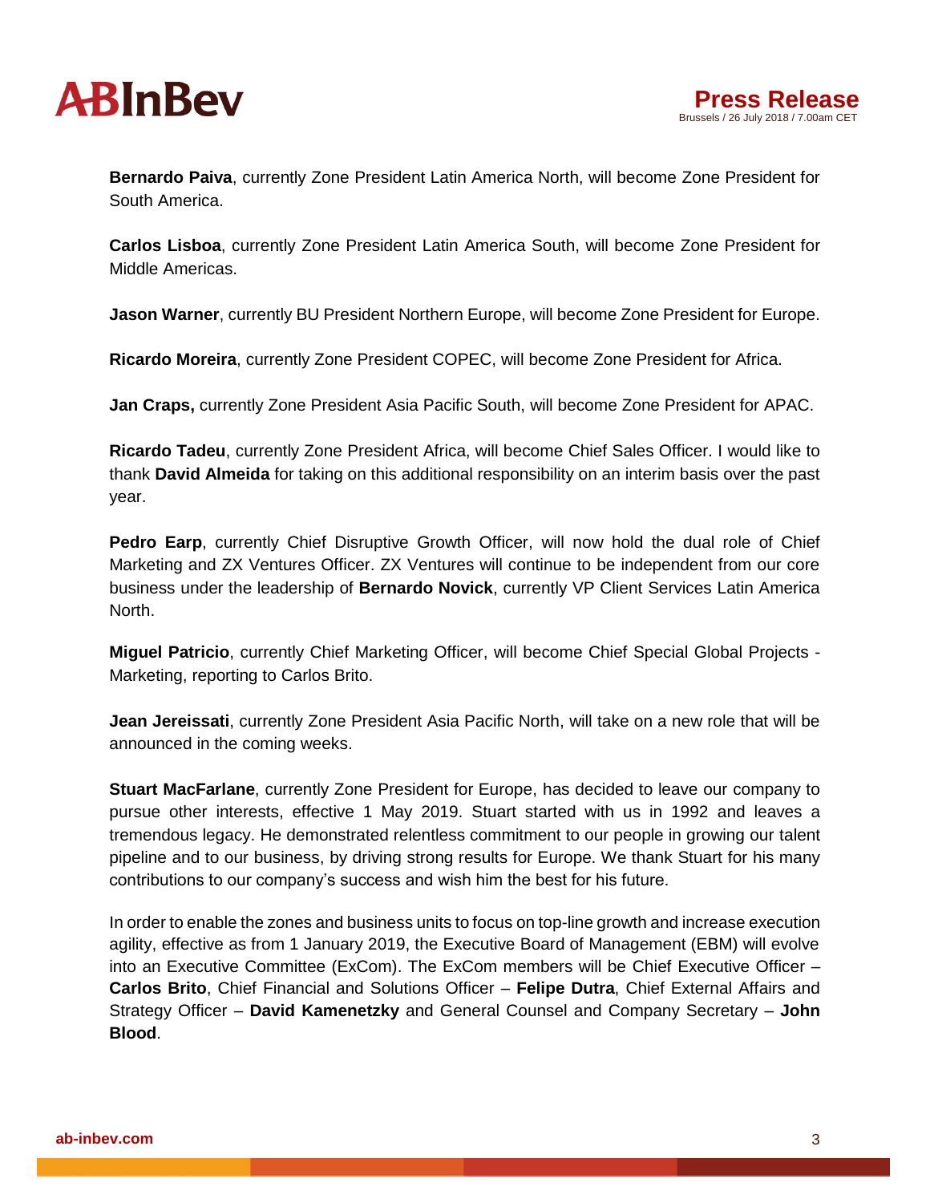



**Bernardo Paiva**, currently Zone President Latin America North, will become Zone President for South America.

**Carlos Lisboa**, currently Zone President Latin America South, will become Zone President for Middle Americas.

**Jason Warner**, currently BU President Northern Europe, will become Zone President for Europe.

**Ricardo Moreira**, currently Zone President COPEC, will become Zone President for Africa.

**Jan Craps,** currently Zone President Asia Pacific South, will become Zone President for APAC.

**Ricardo Tadeu**, currently Zone President Africa, will become Chief Sales Officer. I would like to thank **David Almeida** for taking on this additional responsibility on an interim basis over the past year.

Pedro Earp, currently Chief Disruptive Growth Officer, will now hold the dual role of Chief Marketing and ZX Ventures Officer. ZX Ventures will continue to be independent from our core business under the leadership of **Bernardo Novick**, currently VP Client Services Latin America North.

**Miguel Patricio**, currently Chief Marketing Officer, will become Chief Special Global Projects - Marketing, reporting to Carlos Brito.

**Jean Jereissati**, currently Zone President Asia Pacific North, will take on a new role that will be announced in the coming weeks.

**Stuart MacFarlane**, currently Zone President for Europe, has decided to leave our company to pursue other interests, effective 1 May 2019. Stuart started with us in 1992 and leaves a tremendous legacy. He demonstrated relentless commitment to our people in growing our talent pipeline and to our business, by driving strong results for Europe. We thank Stuart for his many contributions to our company's success and wish him the best for his future.

In order to enable the zones and business units to focus on top-line growth and increase execution agility, effective as from 1 January 2019, the Executive Board of Management (EBM) will evolve into an Executive Committee (ExCom). The ExCom members will be Chief Executive Officer – **Carlos Brito**, Chief Financial and Solutions Officer – **Felipe Dutra**, Chief External Affairs and Strategy Officer – **David Kamenetzky** and General Counsel and Company Secretary – **John Blood**.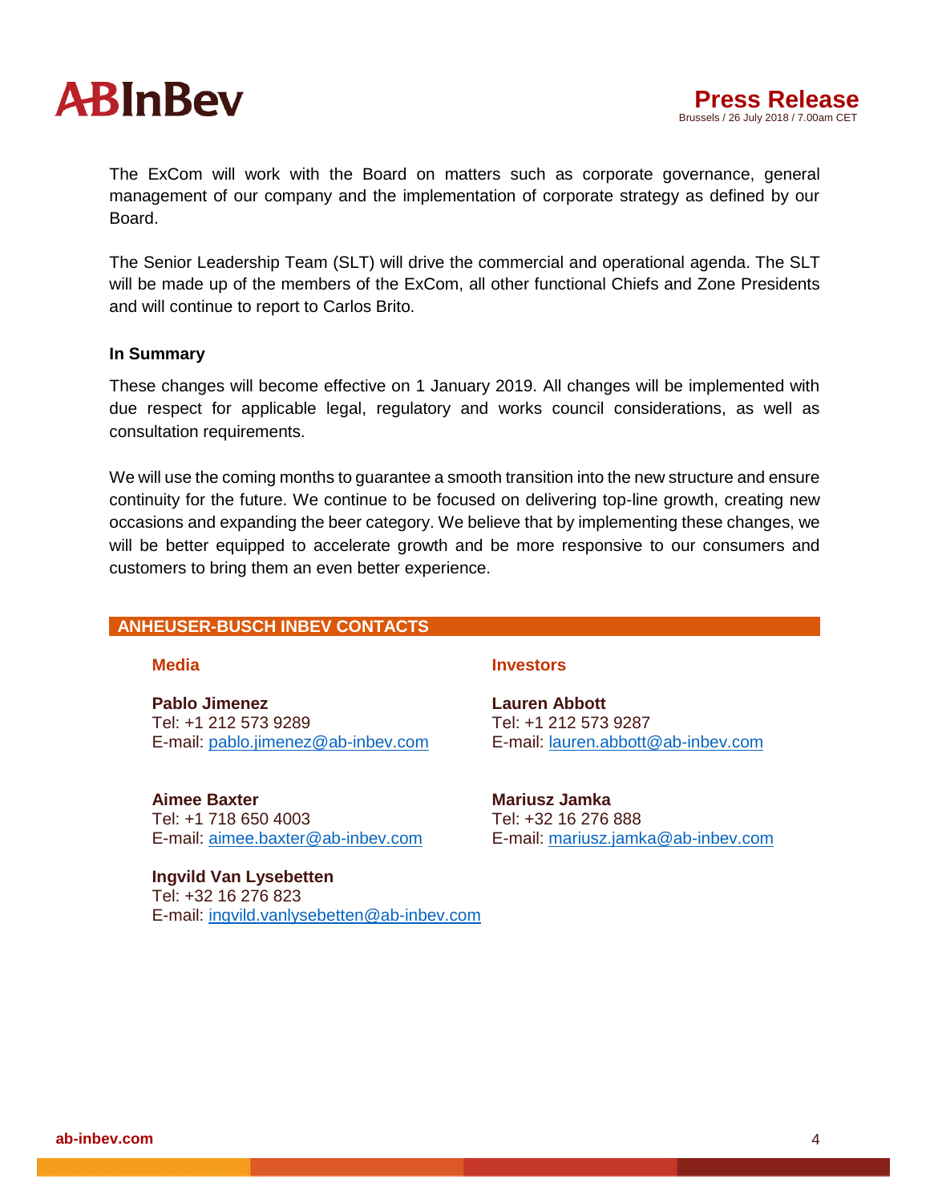

The ExCom will work with the Board on matters such as corporate governance, general management of our company and the implementation of corporate strategy as defined by our Board.

The Senior Leadership Team (SLT) will drive the commercial and operational agenda. The SLT will be made up of the members of the ExCom, all other functional Chiefs and Zone Presidents and will continue to report to Carlos Brito.

#### **In Summary**

These changes will become effective on 1 January 2019. All changes will be implemented with due respect for applicable legal, regulatory and works council considerations, as well as consultation requirements.

We will use the coming months to guarantee a smooth transition into the new structure and ensure continuity for the future. We continue to be focused on delivering top-line growth, creating new occasions and expanding the beer category. We believe that by implementing these changes, we will be better equipped to accelerate growth and be more responsive to our consumers and customers to bring them an even better experience.

## **ANHEUSER-BUSCH INBEV CONTACTS**

**Pablo Jimenez** Tel: +1 212 573 9289 E-mail: pablo.jimenez@ab-inbev.com

**Aimee Baxter** Tel: +1 718 650 4003 E-mail: [aimee.baxter@ab-inbev.com](mailto:aimee.baxter@ab-inbev.com)

**Ingvild Van Lysebetten** Tel: +32 16 276 823 E-mail: ingvild.vanlysebetten@ab-inbev.com

#### **Media Investors**

**Lauren Abbott** Tel: +1 212 573 9287 E-mail: [lauren.abbott@ab-inbev.com](mailto:lauren.abbott@ab-inbev.com)

**Mariusz Jamka** Tel: +32 16 276 888 E-mail: mariusz.jamka@ab-inbev.com